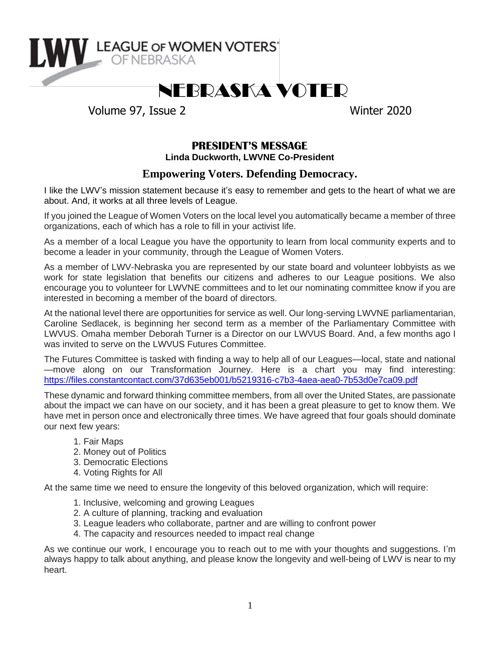

# NEBRASKA VOTER

Volume 97, Issue 2 Winter 2020

# **PRESIDENT'S MESSAGE**

**Linda Duckworth, LWVNE Co-President**

## **Empowering Voters. Defending Democracy.**

I like the LWV's mission statement because it's easy to remember and gets to the heart of what we are about. And, it works at all three levels of League.

If you joined the League of Women Voters on the local level you automatically became a member of three organizations, each of which has a role to fill in your activist life.

As a member of a local League you have the opportunity to learn from local community experts and to become a leader in your community, through the League of Women Voters.

As a member of LWV-Nebraska you are represented by our state board and volunteer lobbyists as we work for state legislation that benefits our citizens and adheres to our League positions. We also encourage you to volunteer for LWVNE committees and to let our nominating committee know if you are interested in becoming a member of the board of directors.

At the national level there are opportunities for service as well. Our long-serving LWVNE parliamentarian, Caroline Sedlacek, is beginning her second term as a member of the Parliamentary Committee with LWVUS. Omaha member Deborah Turner is a Director on our LWVUS Board. And, a few months ago I was invited to serve on the LWVUS Futures Committee.

The Futures Committee is tasked with finding a way to help all of our Leagues—local, state and national —move along on our Transformation Journey. Here is a chart you may find interesting: [https://files.constantcontact.com/37d635eb001/b5219316-c7b3-4aea-aea0-7b53d0e7ca09.pdf](https://eur03.safelinks.protection.outlook.com/?url=https%3A%2F%2Ffiles.constantcontact.com%2F37d635eb001%2Fb5219316-c7b3-4aea-aea0-7b53d0e7ca09.pdf&data=02%7C01%7C%7Cdc04019e370b4c39556308d77779fa25%7C84df9e7fe9f640afb435aaaaaaaaaaaa%7C1%7C0%7C637109238075048360&sdata=HhzKGjqvnHld%2Fnuo4bRhSLHuOO922XS5I4b8%2BY9N7I0%3D&reserved=0)

These dynamic and forward thinking committee members, from all over the United States, are passionate about the impact we can have on our society, and it has been a great pleasure to get to know them. We have met in person once and electronically three times. We have agreed that four goals should dominate our next few years:

- 1. Fair Maps
- 2. Money out of Politics
- 3. Democratic Elections
- 4. Voting Rights for All

At the same time we need to ensure the longevity of this beloved organization, which will require:

- 1. Inclusive, welcoming and growing Leagues
- 2. A culture of planning, tracking and evaluation
- 3. League leaders who collaborate, partner and are willing to confront power
- 4. The capacity and resources needed to impact real change

As we continue our work, I encourage you to reach out to me with your thoughts and suggestions. I'm always happy to talk about anything, and please know the longevity and well-being of LWV is near to my heart.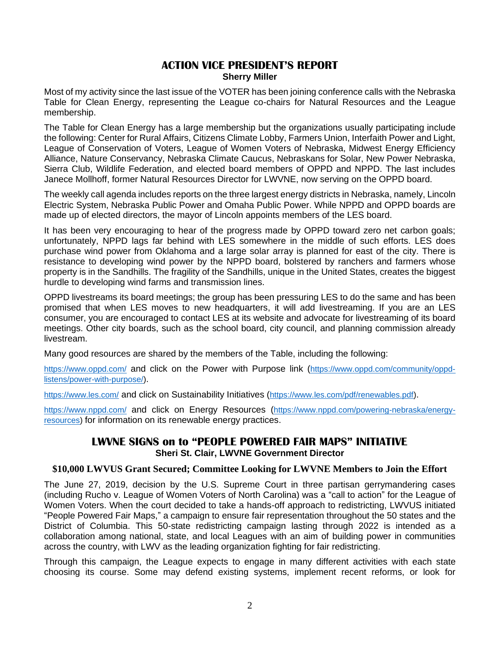#### **ACTION VICE PRESIDENT'S REPORT Sherry Miller**

Most of my activity since the last issue of the VOTER has been joining conference calls with the Nebraska Table for Clean Energy, representing the League co-chairs for Natural Resources and the League membership.

The Table for Clean Energy has a large membership but the organizations usually participating include the following: Center for Rural Affairs, Citizens Climate Lobby, Farmers Union, Interfaith Power and Light, League of Conservation of Voters, League of Women Voters of Nebraska, Midwest Energy Efficiency Alliance, Nature Conservancy, Nebraska Climate Caucus, Nebraskans for Solar, New Power Nebraska, Sierra Club, Wildlife Federation, and elected board members of OPPD and NPPD. The last includes Janece Mollhoff, former Natural Resources Director for LWVNE, now serving on the OPPD board.

The weekly call agenda includes reports on the three largest energy districts in Nebraska, namely, Lincoln Electric System, Nebraska Public Power and Omaha Public Power. While NPPD and OPPD boards are made up of elected directors, the mayor of Lincoln appoints members of the LES board.

It has been very encouraging to hear of the progress made by OPPD toward zero net carbon goals; unfortunately, NPPD lags far behind with LES somewhere in the middle of such efforts. LES does purchase wind power from Oklahoma and a large solar array is planned for east of the city. There is resistance to developing wind power by the NPPD board, bolstered by ranchers and farmers whose property is in the Sandhills. The fragility of the Sandhills, unique in the United States, creates the biggest hurdle to developing wind farms and transmission lines.

OPPD livestreams its board meetings; the group has been pressuring LES to do the same and has been promised that when LES moves to new headquarters, it will add livestreaming. If you are an LES consumer, you are encouraged to contact LES at its website and advocate for livestreaming of its board meetings. Other city boards, such as the school board, city council, and planning commission already livestream.

Many good resources are shared by the members of the Table, including the following:

<https://www.oppd.com/> and click on the Power with Purpose link ([https://www.oppd.com/community/oppd](https://www.oppd.com/community/oppd-listens/power-with-purpose/)[listens/power-with-purpose/\)](https://www.oppd.com/community/oppd-listens/power-with-purpose/).

<https://www.les.com/> and click on Sustainability Initiatives ([https://www.les.com/pdf/renewables.pdf\)](https://www.les.com/pdf/renewables.pdf).

<https://www.nppd.com/> and click on Energy Resources ([https://www.nppd.com/powering-nebraska/energy](https://www.nppd.com/powering-nebraska/energy-resources)[resources\)](https://www.nppd.com/powering-nebraska/energy-resources) for information on its renewable energy practices.

## **LWVNE SIGNS on to "PEOPLE POWERED FAIR MAPS" INITIATIVE Sheri St. Clair, LWVNE Government Director**

#### **\$10,000 LWVUS Grant Secured; Committee Looking for LWVNE Members to Join the Effort**

The June 27, 2019, decision by the U.S. Supreme Court in three partisan gerrymandering cases (including Rucho v. League of Women Voters of North Carolina) was a "call to action" for the League of Women Voters. When the court decided to take a hands-off approach to redistricting, LWVUS initiated "People Powered Fair Maps," a campaign to ensure fair representation throughout the 50 states and the District of Columbia. This 50-state redistricting campaign lasting through 2022 is intended as a collaboration among national, state, and local Leagues with an aim of building power in communities across the country, with LWV as the leading organization fighting for fair redistricting.

Through this campaign, the League expects to engage in many different activities with each state choosing its course. Some may defend existing systems, implement recent reforms, or look for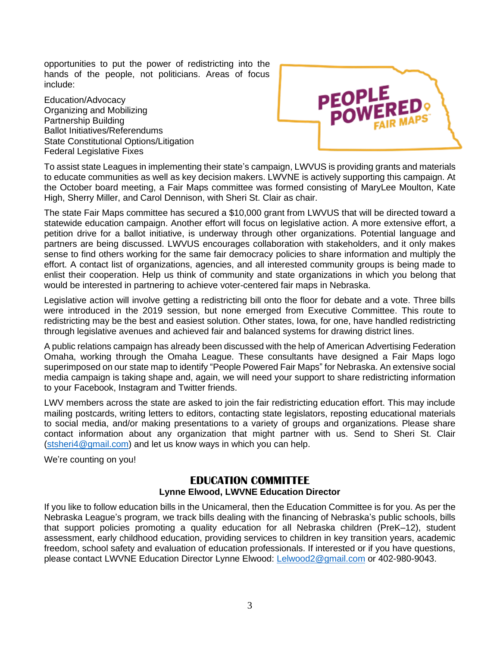opportunities to put the power of redistricting into the hands of the people, not politicians. Areas of focus include:

Education/Advocacy Organizing and Mobilizing Partnership Building Ballot Initiatives/Referendums State Constitutional Options/Litigation Federal Legislative Fixes



To assist state Leagues in implementing their state's campaign, LWVUS is providing grants and materials to educate communities as well as key decision makers. LWVNE is actively supporting this campaign. At the October board meeting, a Fair Maps committee was formed consisting of MaryLee Moulton, Kate High, Sherry Miller, and Carol Dennison, with Sheri St. Clair as chair.

The state Fair Maps committee has secured a \$10,000 grant from LWVUS that will be directed toward a statewide education campaign. Another effort will focus on legislative action. A more extensive effort, a petition drive for a ballot initiative, is underway through other organizations. Potential language and partners are being discussed. LWVUS encourages collaboration with stakeholders, and it only makes sense to find others working for the same fair democracy policies to share information and multiply the effort. A contact list of organizations, agencies, and all interested community groups is being made to enlist their cooperation. Help us think of community and state organizations in which you belong that would be interested in partnering to achieve voter-centered fair maps in Nebraska.

Legislative action will involve getting a redistricting bill onto the floor for debate and a vote. Three bills were introduced in the 2019 session, but none emerged from Executive Committee. This route to redistricting may be the best and easiest solution. Other states, Iowa, for one, have handled redistricting through legislative avenues and achieved fair and balanced systems for drawing district lines.

A public relations campaign has already been discussed with the help of American Advertising Federation Omaha, working through the Omaha League. These consultants have designed a Fair Maps logo superimposed on our state map to identify "People Powered Fair Maps" for Nebraska. An extensive social media campaign is taking shape and, again, we will need your support to share redistricting information to your Facebook, Instagram and Twitter friends.

LWV members across the state are asked to join the fair redistricting education effort. This may include mailing postcards, writing letters to editors, contacting state legislators, reposting educational materials to social media, and/or making presentations to a variety of groups and organizations. Please share contact information about any organization that might partner with us. Send to Sheri St. Clair [\(stsheri4@gmail.com\)](mailto:stsheri4@gmail.com) and let us know ways in which you can help.

We're counting on you!

## **EDUCATION COMMITTEE Lynne Elwood, LWVNE Education Director**

If you like to follow education bills in the Unicameral, then the Education Committee is for you. As per the Nebraska League's program, we track bills dealing with the financing of Nebraska's public schools, bills that support policies promoting a quality education for all Nebraska children (PreK–12), student assessment, early childhood education, providing services to children in key transition years, academic freedom, school safety and evaluation of education professionals. If interested or if you have questions, please contact LWVNE Education Director Lynne Elwood: [Lelwood2@gmail.com](mailto:Lelwood2@gmail.com) or 402-980-9043.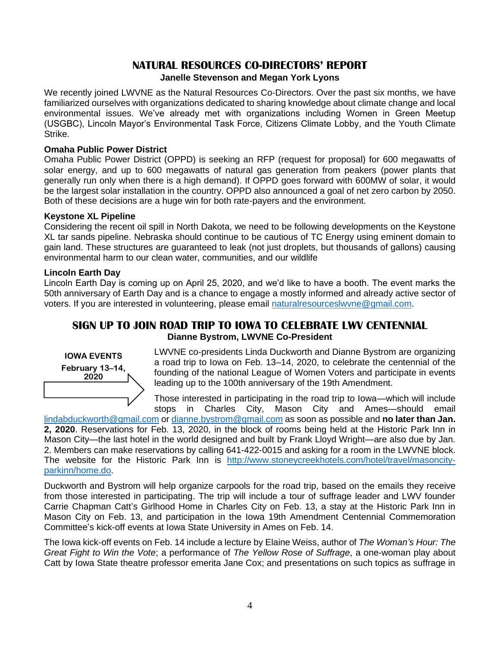## **NATURAL RESOURCES CO-DIRECTORS' REPORT**

#### **Janelle Stevenson and Megan York Lyons**

We recently joined LWVNE as the Natural Resources Co-Directors. Over the past six months, we have familiarized ourselves with organizations dedicated to sharing knowledge about climate change and local environmental issues. We've already met with organizations including Women in Green Meetup (USGBC), Lincoln Mayor's Environmental Task Force, Citizens Climate Lobby, and the Youth Climate Strike.

#### **Omaha Public Power District**

Omaha Public Power District (OPPD) is seeking an RFP (request for proposal) for 600 megawatts of solar energy, and up to 600 megawatts of natural gas generation from peakers (power plants that generally run only when there is a high demand). If OPPD goes forward with 600MW of solar, it would be the largest solar installation in the country. OPPD also announced a goal of net zero carbon by 2050. Both of these decisions are a huge win for both rate-payers and the environment.

#### **Keystone XL Pipeline**

Considering the recent oil spill in North Dakota, we need to be following developments on the Keystone XL tar sands pipeline. Nebraska should continue to be cautious of TC Energy using eminent domain to gain land. These structures are guaranteed to leak (not just droplets, but thousands of gallons) causing environmental harm to our clean water, communities, and our wildlife

#### **Lincoln Earth Day**

Lincoln Earth Day is coming up on April 25, 2020, and we'd like to have a booth. The event marks the 50th anniversary of Earth Day and is a chance to engage a mostly informed and already active sector of voters. If you are interested in volunteering, please email [naturalresourceslwvne@gmail.com.](mailto:naturalresourceslwvne@gmail.com)

### **SIGN UP TO JOIN ROAD TRIP TO IOWA TO CELEBRATE LWV CENTENNIAL Dianne Bystrom, LWVNE Co-President**



LWVNE co-presidents Linda Duckworth and Dianne Bystrom are organizing a road trip to Iowa on Feb. 13–14, 2020, to celebrate the centennial of the founding of the national League of Women Voters and participate in events leading up to the 100th anniversary of the 19th Amendment.

Those interested in participating in the road trip to Iowa—which will include stops in Charles City, Mason City and Ames—should email

[lindabduckworth@gmail.com](mailto:lindabduckworth@gmail.com) or [dianne.bystrom@gmail.com](mailto:dianne.bystrom@gmail.com) as soon as possible and **no later than Jan. 2, 2020**. Reservations for Feb. 13, 2020, in the block of rooms being held at the Historic Park Inn in Mason City—the last hotel in the world designed and built by Frank Lloyd Wright—are also due by Jan. 2. Members can make reservations by calling 641-422-0015 and asking for a room in the LWVNE block. The website for the Historic Park Inn is [http://www.stoneycreekhotels.com/hotel/travel/masoncity](http://www.stoneycreekhotels.com/hotel/travel/masoncity-parkinn/home.do)[parkinn/home.do.](http://www.stoneycreekhotels.com/hotel/travel/masoncity-parkinn/home.do)

Duckworth and Bystrom will help organize carpools for the road trip, based on the emails they receive from those interested in participating. The trip will include a tour of suffrage leader and LWV founder Carrie Chapman Catt's Girlhood Home in Charles City on Feb. 13, a stay at the Historic Park Inn in Mason City on Feb. 13, and participation in the Iowa 19th Amendment Centennial Commemoration Committee's kick-off events at Iowa State University in Ames on Feb. 14.

The Iowa kick-off events on Feb. 14 include a lecture by Elaine Weiss, author of *The Woman's Hour: The Great Fight to Win the Vote*; a performance of *The Yellow Rose of Suffrage*, a one-woman play about Catt by Iowa State theatre professor emerita Jane Cox; and presentations on such topics as suffrage in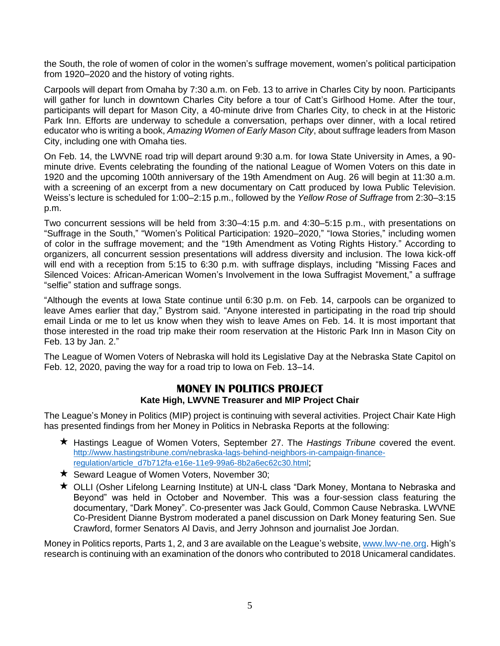the South, the role of women of color in the women's suffrage movement, women's political participation from 1920–2020 and the history of voting rights.

Carpools will depart from Omaha by 7:30 a.m. on Feb. 13 to arrive in Charles City by noon. Participants will gather for lunch in downtown Charles City before a tour of Catt's Girlhood Home. After the tour, participants will depart for Mason City, a 40-minute drive from Charles City, to check in at the Historic Park Inn. Efforts are underway to schedule a conversation, perhaps over dinner, with a local retired educator who is writing a book, *Amazing Women of Early Mason City*, about suffrage leaders from Mason City, including one with Omaha ties.

On Feb. 14, the LWVNE road trip will depart around 9:30 a.m. for Iowa State University in Ames, a 90 minute drive. Events celebrating the founding of the national League of Women Voters on this date in 1920 and the upcoming 100th anniversary of the 19th Amendment on Aug. 26 will begin at 11:30 a.m. with a screening of an excerpt from a new documentary on Catt produced by Iowa Public Television. Weiss's lecture is scheduled for 1:00–2:15 p.m., followed by the *Yellow Rose of Suffrage* from 2:30–3:15 p.m.

Two concurrent sessions will be held from 3:30–4:15 p.m. and 4:30–5:15 p.m., with presentations on "Suffrage in the South," "Women's Political Participation: 1920–2020," "Iowa Stories," including women of color in the suffrage movement; and the "19th Amendment as Voting Rights History." According to organizers, all concurrent session presentations will address diversity and inclusion. The Iowa kick-off will end with a reception from 5:15 to 6:30 p.m. with suffrage displays, including "Missing Faces and Silenced Voices: African-American Women's Involvement in the Iowa Suffragist Movement," a suffrage "selfie" station and suffrage songs.

"Although the events at Iowa State continue until 6:30 p.m. on Feb. 14, carpools can be organized to leave Ames earlier that day," Bystrom said. "Anyone interested in participating in the road trip should email Linda or me to let us know when they wish to leave Ames on Feb. 14. It is most important that those interested in the road trip make their room reservation at the Historic Park Inn in Mason City on Feb. 13 by Jan. 2."

The League of Women Voters of Nebraska will hold its Legislative Day at the Nebraska State Capitol on Feb. 12, 2020, paving the way for a road trip to Iowa on Feb. 13–14.

## **MONEY IN POLITICS PROJECT Kate High, LWVNE Treasurer and MIP Project Chair**

The League's Money in Politics (MIP) project is continuing with several activities. Project Chair Kate High has presented findings from her Money in Politics in Nebraska Reports at the following:

- **★ Hastings League of Women Voters, September 27. The** *Hastings Tribune* **covered the event.** [http://www.hastingstribune.com/nebraska-lags-behind-neighbors-in-campaign-finance](http://www.hastingstribune.com/nebraska-lags-behind-neighbors-in-campaign-finance-regulation/article_d7b712fa-e16e-11e9-99a6-8b2a6ec62c30.html)[regulation/article\\_d7b712fa-e16e-11e9-99a6-8b2a6ec62c30.html](http://www.hastingstribune.com/nebraska-lags-behind-neighbors-in-campaign-finance-regulation/article_d7b712fa-e16e-11e9-99a6-8b2a6ec62c30.html);
- $\star$  Seward League of Women Voters, November 30;
- ★ OLLI (Osher Lifelong Learning Institute) at UN-L class "Dark Money, Montana to Nebraska and Beyond" was held in October and November. This was a four-session class featuring the documentary, "Dark Money". Co-presenter was Jack Gould, Common Cause Nebraska. LWVNE Co-President Dianne Bystrom moderated a panel discussion on Dark Money featuring Sen. Sue Crawford, former Senators Al Davis, and Jerry Johnson and journalist Joe Jordan.

Money in Politics reports, Parts 1, 2, and 3 are available on the League's website[, www.lwv-ne.org.](http://www.lwv-ne.org/) High's research is continuing with an examination of the donors who contributed to 2018 Unicameral candidates.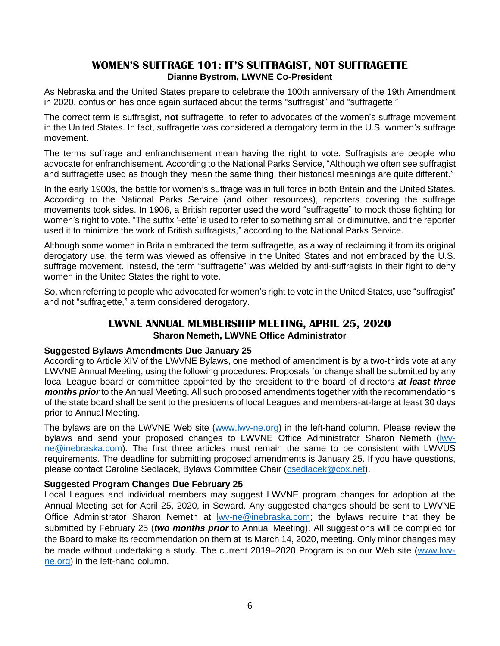#### **WOMEN'S SUFFRAGE 101: IT'S SUFFRAGIST, NOT SUFFRAGETTE Dianne Bystrom, LWVNE Co-President**

As Nebraska and the United States prepare to celebrate the 100th anniversary of the 19th Amendment in 2020, confusion has once again surfaced about the terms "suffragist" and "suffragette."

The correct term is suffragist, **not** suffragette, to refer to advocates of the women's suffrage movement in the United States. In fact, suffragette was considered a derogatory term in the U.S. women's suffrage movement.

The terms suffrage and enfranchisement mean having the right to vote. Suffragists are people who advocate for enfranchisement. According to the National Parks Service, "Although we often see suffragist and suffragette used as though they mean the same thing, their historical meanings are quite different."

In the early 1900s, the battle for women's suffrage was in full force in both Britain and the United States. According to the National Parks Service (and other resources), reporters covering the suffrage movements took sides. In 1906, a British reporter used the word "suffragette" to mock those fighting for women's right to vote. "The suffix '-ette' is used to refer to something small or diminutive, and the reporter used it to minimize the work of British suffragists," according to the National Parks Service.

Although some women in Britain embraced the term suffragette, as a way of reclaiming it from its original derogatory use, the term was viewed as offensive in the United States and not embraced by the U.S. suffrage movement. Instead, the term "suffragette" was wielded by anti-suffragists in their fight to deny women in the United States the right to vote.

So, when referring to people who advocated for women's right to vote in the United States, use "suffragist" and not "suffragette," a term considered derogatory.

#### **LWVNE ANNUAL MEMBERSHIP MEETING, APRIL 25, 2020 Sharon Nemeth, LWVNE Office Administrator**

#### **Suggested Bylaws Amendments Due January 25**

According to Article XIV of the LWVNE Bylaws, one method of amendment is by a two-thirds vote at any LWVNE Annual Meeting, using the following procedures: Proposals for change shall be submitted by any local League board or committee appointed by the president to the board of directors *at least three months prior* to the Annual Meeting. All such proposed amendments together with the recommendations of the state board shall be sent to the presidents of local Leagues and members-at-large at least 30 days prior to Annual Meeting.

The bylaws are on the LWVNE Web site [\(www.lwv-ne.org\)](http://www.lwv-ne.org/) in the left-hand column. Please review the bylaws and send your proposed changes to LWVNE Office Administrator Sharon Nemeth [\(lwv](mailto:lwv-ne@inebraska.com)[ne@inebraska.com\)](mailto:lwv-ne@inebraska.com). The first three articles must remain the same to be consistent with LWVUS requirements. The deadline for submitting proposed amendments is January 25. If you have questions, please contact Caroline Sedlacek, Bylaws Committee Chair [\(csedlacek@cox.net\)](mailto:csedlacek@cox.net).

#### **Suggested Program Changes Due February 25**

Local Leagues and individual members may suggest LWVNE program changes for adoption at the Annual Meeting set for April 25, 2020, in Seward. Any suggested changes should be sent to LWVNE Office Administrator Sharon Nemeth at [lwv-ne@inebraska.com;](mailto:lwv-ne@inebraska.com) the bylaws require that they be submitted by February 25 (*two months prior* to Annual Meeting). All suggestions will be compiled for the Board to make its recommendation on them at its March 14, 2020, meeting. Only minor changes may be made without undertaking a study. The current 2019–2020 Program is on our Web site [\(www.lwv](http://www.lwv-ne.org/)[ne.org\)](http://www.lwv-ne.org/) in the left-hand column.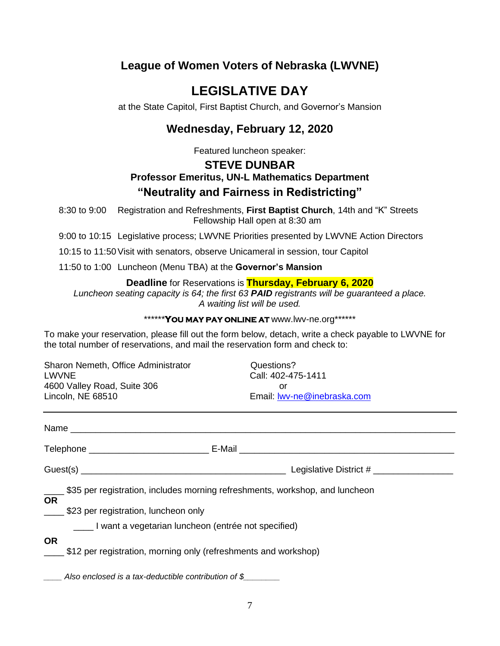# **League of Women Voters of Nebraska (LWVNE)**

# **LEGISLATIVE DAY**

at the State Capitol, First Baptist Church, and Governor's Mansion

# **Wednesday, February 12, 2020**

Featured luncheon speaker:

## **STEVE DUNBAR Professor Emeritus, UN-L Mathematics Department "Neutrality and Fairness in Redistricting"**

8:30 to 9:00 Registration and Refreshments, **First Baptist Church**, 14th and "K" Streets Fellowship Hall open at 8:30 am

9:00 to 10:15 Legislative process; LWVNE Priorities presented by LWVNE Action Directors

10:15 to 11:50Visit with senators, observe Unicameral in session, tour Capitol

11:50 to 1:00 Luncheon (Menu TBA) at the **Governor's Mansion**

**Deadline** for Reservations is **Thursday, February 6, 2020**

*Luncheon seating capacity is 64; the first 63 PAID registrants will be guaranteed a place. A waiting list will be used.*

\*\*\*\*\*\***YOU MAY PAY ONLINE AT** www.lwv-ne.org\*\*\*\*\*\*

To make your reservation, please fill out the form below, detach, write a check payable to LWVNE for the total number of reservations, and mail the reservation form and check to:

Sharon Nemeth, Office Administrator **Questions?** LWVNE Call: 402-475-1411 4600 Valley Road, Suite 306 or Lincoln, NE 68510 Email: [lwv-ne@inebraska.com](mailto:lwv-ne@inebraska.com)

|           | E-Mail _____________________________                                                                                       |
|-----------|----------------------------------------------------------------------------------------------------------------------------|
|           | Legislative District #                                                                                                     |
| <b>OR</b> | \$35 per registration, includes morning refreshments, workshop, and luncheon<br>_____ \$23 per registration, luncheon only |
|           | I want a vegetarian luncheon (entrée not specified)                                                                        |
| <b>OR</b> | \$12 per registration, morning only (refreshments and workshop)                                                            |
|           | Also enclosed is a tax-deductible contribution of \$                                                                       |